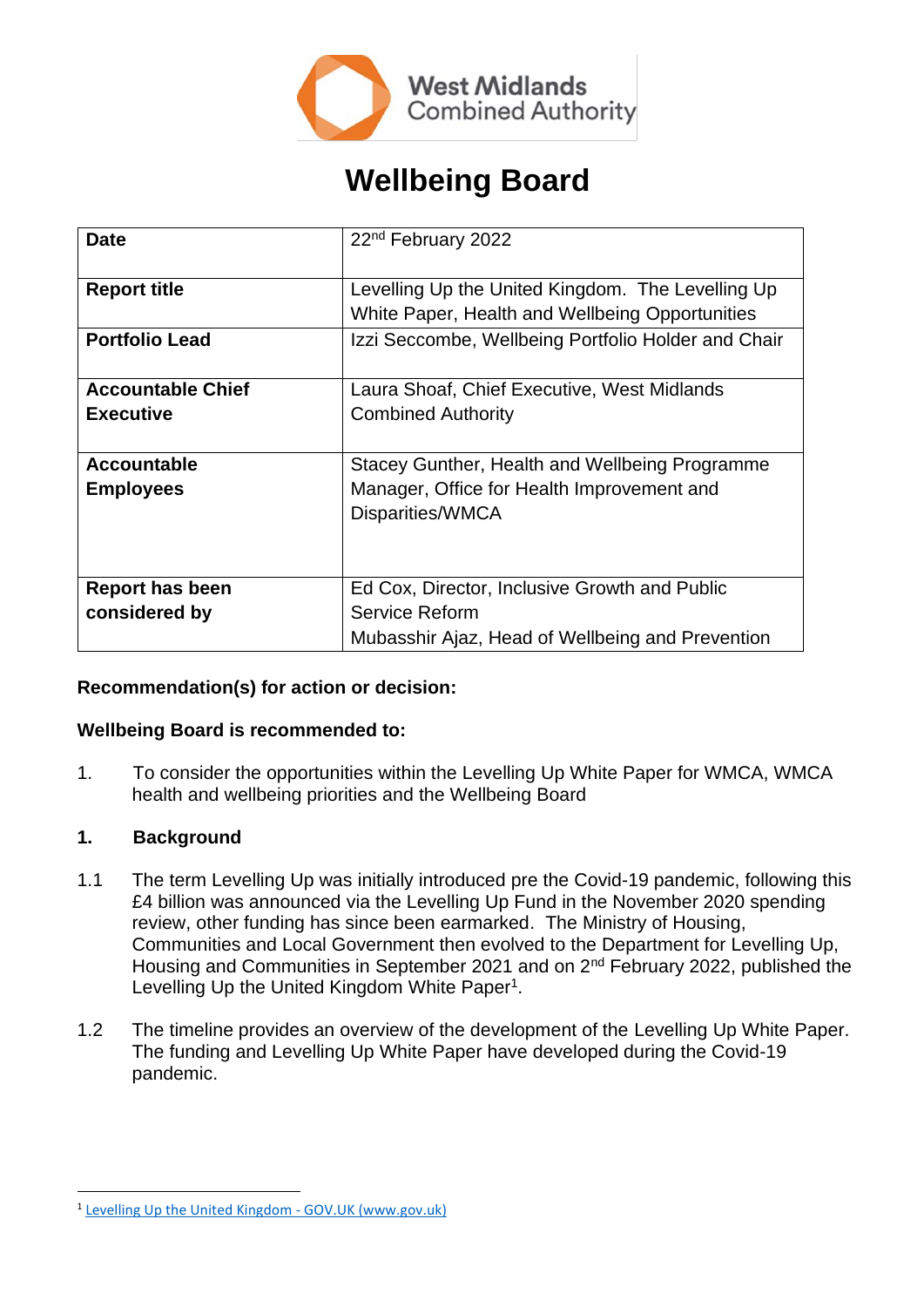

# **Wellbeing Board**

| <b>Date</b>              | 22 <sup>nd</sup> February 2022                      |
|--------------------------|-----------------------------------------------------|
| <b>Report title</b>      | Levelling Up the United Kingdom. The Levelling Up   |
|                          | White Paper, Health and Wellbeing Opportunities     |
| <b>Portfolio Lead</b>    | Izzi Seccombe, Wellbeing Portfolio Holder and Chair |
| <b>Accountable Chief</b> | Laura Shoaf, Chief Executive, West Midlands         |
| <b>Executive</b>         | <b>Combined Authority</b>                           |
| <b>Accountable</b>       | Stacey Gunther, Health and Wellbeing Programme      |
| <b>Employees</b>         | Manager, Office for Health Improvement and          |
|                          | Disparities/WMCA                                    |
|                          |                                                     |
|                          |                                                     |
| <b>Report has been</b>   | Ed Cox, Director, Inclusive Growth and Public       |
| considered by            | Service Reform                                      |
|                          | Mubasshir Ajaz, Head of Wellbeing and Prevention    |

# **Recommendation(s) for action or decision:**

#### **Wellbeing Board is recommended to:**

1. To consider the opportunities within the Levelling Up White Paper for WMCA, WMCA health and wellbeing priorities and the Wellbeing Board

# **1. Background**

- 1.1 The term Levelling Up was initially introduced pre the Covid-19 pandemic, following this £4 billion was announced via the Levelling Up Fund in the November 2020 spending review, other funding has since been earmarked. The Ministry of Housing, Communities and Local Government then evolved to the Department for Levelling Up, Housing and Communities in September 2021 and on 2<sup>nd</sup> February 2022, published the Levelling Up the United Kingdom White Paper<sup>1</sup>.
- 1.2 The timeline provides an overview of the development of the Levelling Up White Paper. The funding and Levelling Up White Paper have developed during the Covid-19 pandemic.

<sup>&</sup>lt;sup>1</sup> [Levelling Up the United Kingdom -](https://www.gov.uk/government/publications/levelling-up-the-united-kingdom) GOV.UK (www.gov.uk)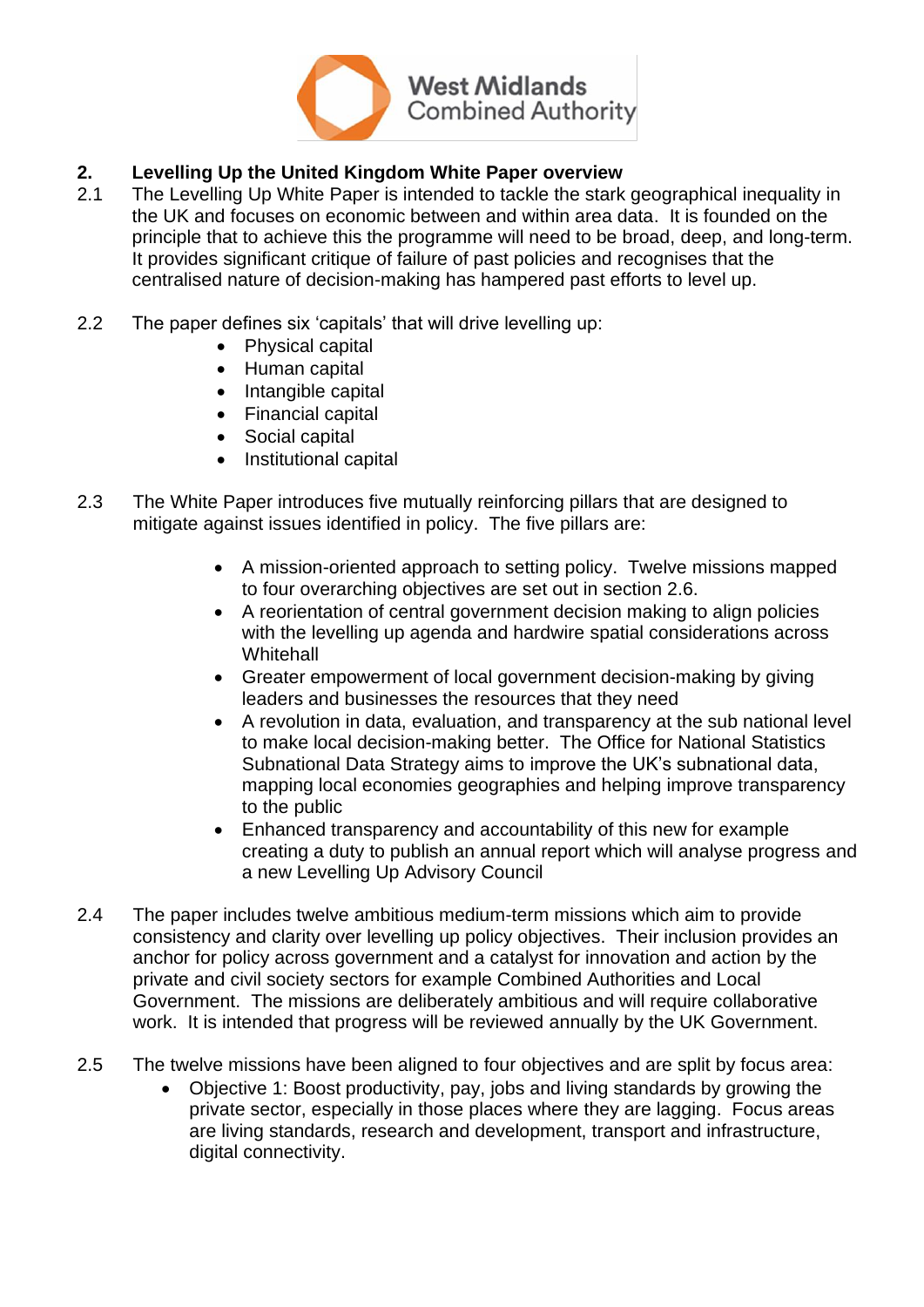

# **2. Levelling Up the United Kingdom White Paper overview**

- 2.1 The Levelling Up White Paper is intended to tackle the stark geographical inequality in the UK and focuses on economic between and within area data. It is founded on the principle that to achieve this the programme will need to be broad, deep, and long-term. It provides significant critique of failure of past policies and recognises that the centralised nature of decision-making has hampered past efforts to level up.
- 2.2 The paper defines six 'capitals' that will drive levelling up:
	- Physical capital
	- Human capital
	- Intangible capital
	- Financial capital
	- Social capital
	- Institutional capital
- 2.3 The White Paper introduces five mutually reinforcing pillars that are designed to mitigate against issues identified in policy. The five pillars are:
	- A mission-oriented approach to setting policy. Twelve missions mapped to four overarching objectives are set out in section 2.6.
	- A reorientation of central government decision making to align policies with the levelling up agenda and hardwire spatial considerations across **Whitehall**
	- Greater empowerment of local government decision-making by giving leaders and businesses the resources that they need
	- A revolution in data, evaluation, and transparency at the sub national level to make local decision-making better. The Office for National Statistics Subnational Data Strategy aims to improve the UK's subnational data, mapping local economies geographies and helping improve transparency to the public
	- Enhanced transparency and accountability of this new for example creating a duty to publish an annual report which will analyse progress and a new Levelling Up Advisory Council
- 2.4 The paper includes twelve ambitious medium-term missions which aim to provide consistency and clarity over levelling up policy objectives. Their inclusion provides an anchor for policy across government and a catalyst for innovation and action by the private and civil society sectors for example Combined Authorities and Local Government. The missions are deliberately ambitious and will require collaborative work. It is intended that progress will be reviewed annually by the UK Government.
- 2.5 The twelve missions have been aligned to four objectives and are split by focus area:
	- Objective 1: Boost productivity, pay, jobs and living standards by growing the private sector, especially in those places where they are lagging. Focus areas are living standards, research and development, transport and infrastructure, digital connectivity.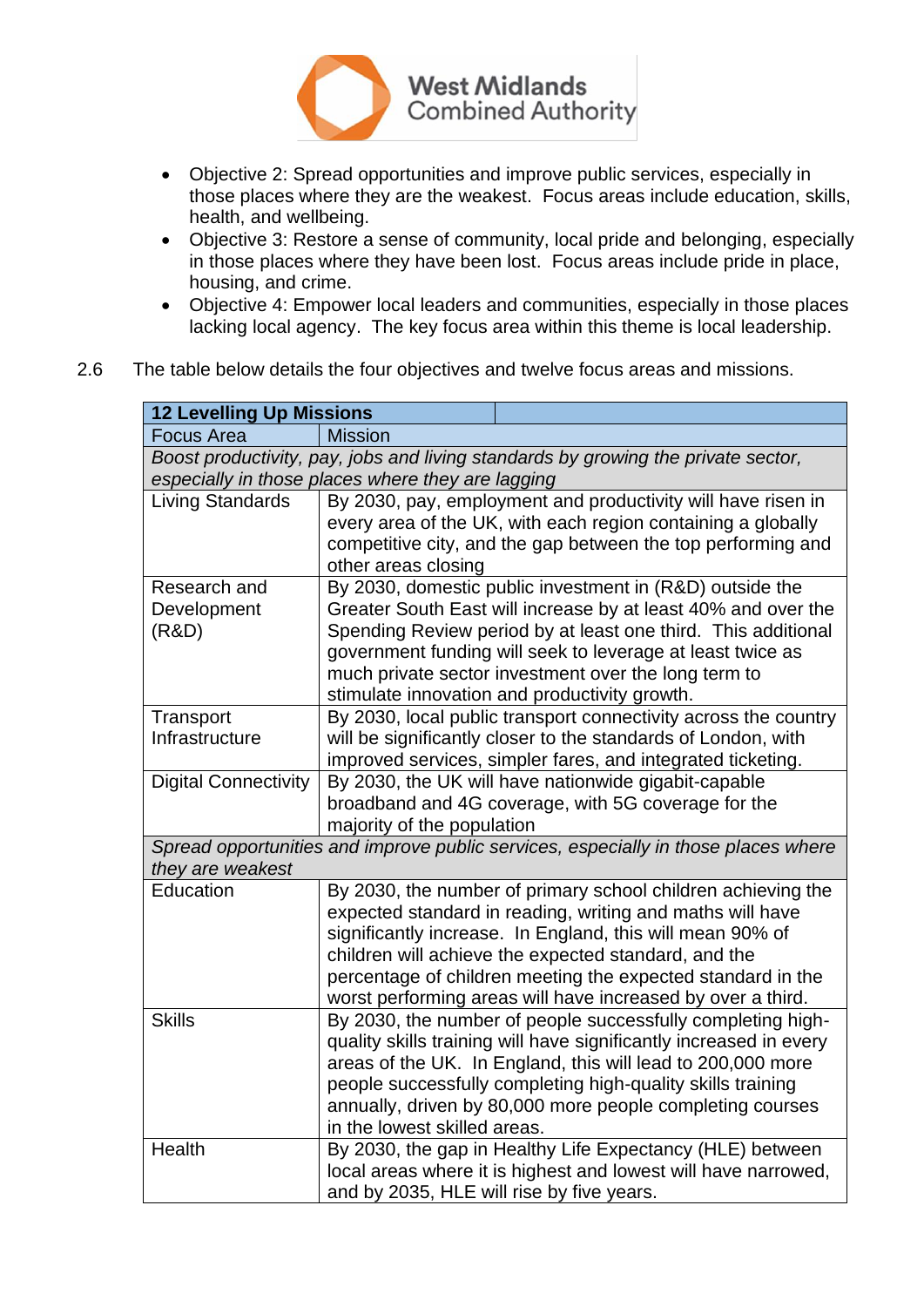

- Objective 2: Spread opportunities and improve public services, especially in those places where they are the weakest. Focus areas include education, skills, health, and wellbeing.
- Objective 3: Restore a sense of community, local pride and belonging, especially in those places where they have been lost. Focus areas include pride in place, housing, and crime.
- Objective 4: Empower local leaders and communities, especially in those places lacking local agency. The key focus area within this theme is local leadership.
- 2.6 The table below details the four objectives and twelve focus areas and missions.

| <b>12 Levelling Up Missions</b>                                                                                                        |                                                                                                                                                                                                                                                                                                                                                                              |  |
|----------------------------------------------------------------------------------------------------------------------------------------|------------------------------------------------------------------------------------------------------------------------------------------------------------------------------------------------------------------------------------------------------------------------------------------------------------------------------------------------------------------------------|--|
| <b>Focus Area</b>                                                                                                                      | <b>Mission</b>                                                                                                                                                                                                                                                                                                                                                               |  |
| Boost productivity, pay, jobs and living standards by growing the private sector,<br>especially in those places where they are lagging |                                                                                                                                                                                                                                                                                                                                                                              |  |
| <b>Living Standards</b>                                                                                                                | By 2030, pay, employment and productivity will have risen in<br>every area of the UK, with each region containing a globally<br>competitive city, and the gap between the top performing and<br>other areas closing                                                                                                                                                          |  |
| Research and<br>Development<br>(R&D)                                                                                                   | By 2030, domestic public investment in (R&D) outside the<br>Greater South East will increase by at least 40% and over the<br>Spending Review period by at least one third. This additional<br>government funding will seek to leverage at least twice as<br>much private sector investment over the long term to<br>stimulate innovation and productivity growth.            |  |
| Transport<br>Infrastructure                                                                                                            | By 2030, local public transport connectivity across the country<br>will be significantly closer to the standards of London, with<br>improved services, simpler fares, and integrated ticketing.                                                                                                                                                                              |  |
| <b>Digital Connectivity</b>                                                                                                            | By 2030, the UK will have nationwide gigabit-capable<br>broadband and 4G coverage, with 5G coverage for the<br>majority of the population                                                                                                                                                                                                                                    |  |
| Spread opportunities and improve public services, especially in those places where<br>they are weakest                                 |                                                                                                                                                                                                                                                                                                                                                                              |  |
| Education                                                                                                                              | By 2030, the number of primary school children achieving the<br>expected standard in reading, writing and maths will have<br>significantly increase. In England, this will mean 90% of<br>children will achieve the expected standard, and the<br>percentage of children meeting the expected standard in the<br>worst performing areas will have increased by over a third. |  |
| <b>Skills</b>                                                                                                                          | By 2030, the number of people successfully completing high-<br>quality skills training will have significantly increased in every<br>areas of the UK. In England, this will lead to 200,000 more<br>people successfully completing high-quality skills training<br>annually, driven by 80,000 more people completing courses<br>in the lowest skilled areas.                 |  |
| Health                                                                                                                                 | By 2030, the gap in Healthy Life Expectancy (HLE) between<br>local areas where it is highest and lowest will have narrowed,<br>and by 2035, HLE will rise by five years.                                                                                                                                                                                                     |  |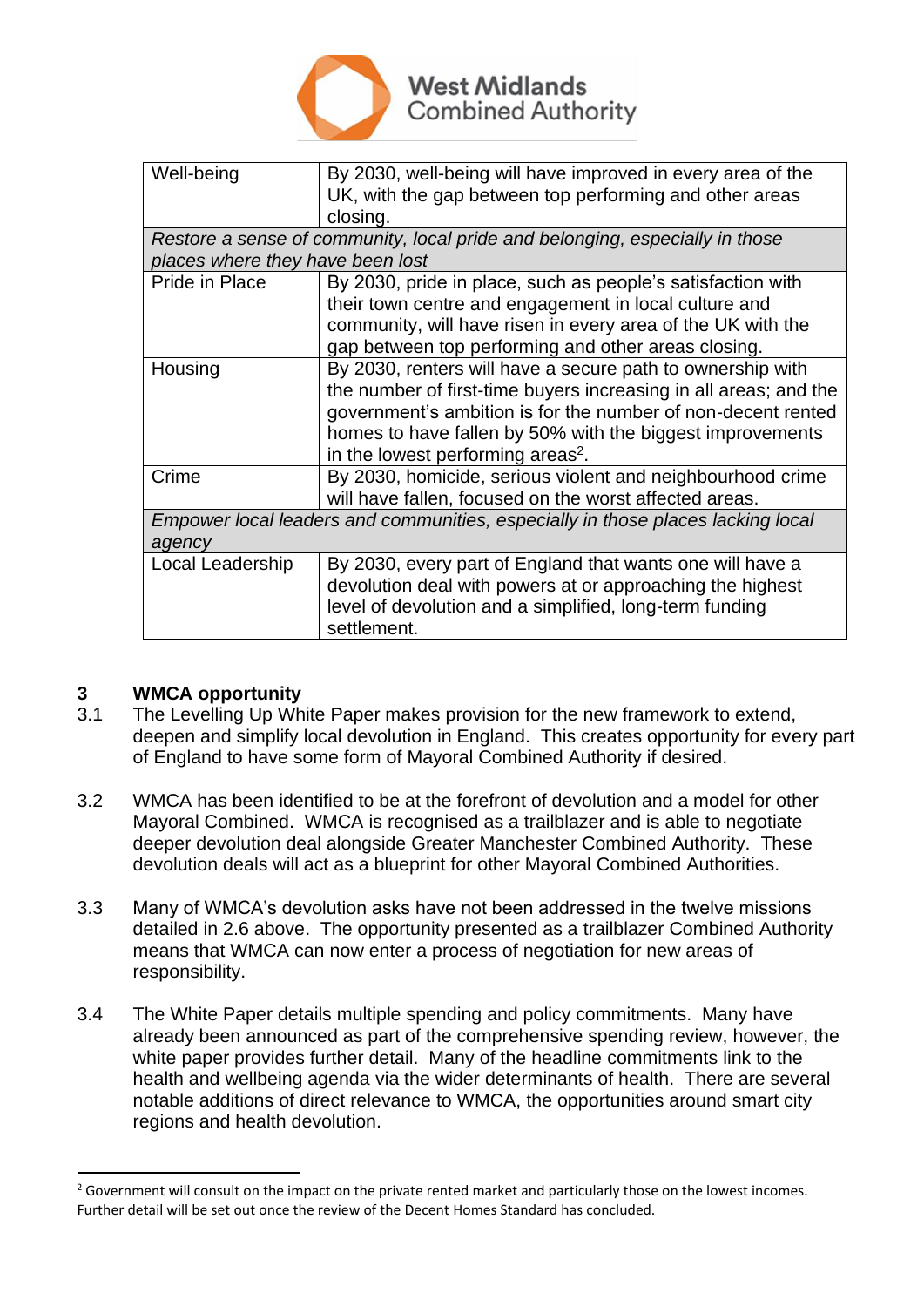

| Well-being                                                                      | By 2030, well-being will have improved in every area of the      |  |
|---------------------------------------------------------------------------------|------------------------------------------------------------------|--|
|                                                                                 | UK, with the gap between top performing and other areas          |  |
|                                                                                 | closing.                                                         |  |
| Restore a sense of community, local pride and belonging, especially in those    |                                                                  |  |
| places where they have been lost                                                |                                                                  |  |
| Pride in Place                                                                  | By 2030, pride in place, such as people's satisfaction with      |  |
|                                                                                 | their town centre and engagement in local culture and            |  |
|                                                                                 | community, will have risen in every area of the UK with the      |  |
|                                                                                 | gap between top performing and other areas closing.              |  |
| Housing                                                                         | By 2030, renters will have a secure path to ownership with       |  |
|                                                                                 | the number of first-time buyers increasing in all areas; and the |  |
|                                                                                 | government's ambition is for the number of non-decent rented     |  |
|                                                                                 | homes to have fallen by 50% with the biggest improvements        |  |
|                                                                                 | in the lowest performing areas <sup>2</sup> .                    |  |
| Crime                                                                           | By 2030, homicide, serious violent and neighbourhood crime       |  |
|                                                                                 | will have fallen, focused on the worst affected areas.           |  |
| Empower local leaders and communities, especially in those places lacking local |                                                                  |  |
| agency                                                                          |                                                                  |  |
| Local Leadership                                                                | By 2030, every part of England that wants one will have a        |  |
|                                                                                 | devolution deal with powers at or approaching the highest        |  |
|                                                                                 | level of devolution and a simplified, long-term funding          |  |
|                                                                                 | settlement.                                                      |  |
|                                                                                 |                                                                  |  |

# **3 WMCA opportunity**

- 3.1 The Levelling Up White Paper makes provision for the new framework to extend, deepen and simplify local devolution in England. This creates opportunity for every part of England to have some form of Mayoral Combined Authority if desired.
- 3.2 WMCA has been identified to be at the forefront of devolution and a model for other Mayoral Combined. WMCA is recognised as a trailblazer and is able to negotiate deeper devolution deal alongside Greater Manchester Combined Authority. These devolution deals will act as a blueprint for other Mayoral Combined Authorities.
- 3.3 Many of WMCA's devolution asks have not been addressed in the twelve missions detailed in 2.6 above. The opportunity presented as a trailblazer Combined Authority means that WMCA can now enter a process of negotiation for new areas of responsibility.
- 3.4 The White Paper details multiple spending and policy commitments. Many have already been announced as part of the comprehensive spending review, however, the white paper provides further detail. Many of the headline commitments link to the health and wellbeing agenda via the wider determinants of health. There are several notable additions of direct relevance to WMCA, the opportunities around smart city regions and health devolution.

 $2$  Government will consult on the impact on the private rented market and particularly those on the lowest incomes. Further detail will be set out once the review of the Decent Homes Standard has concluded.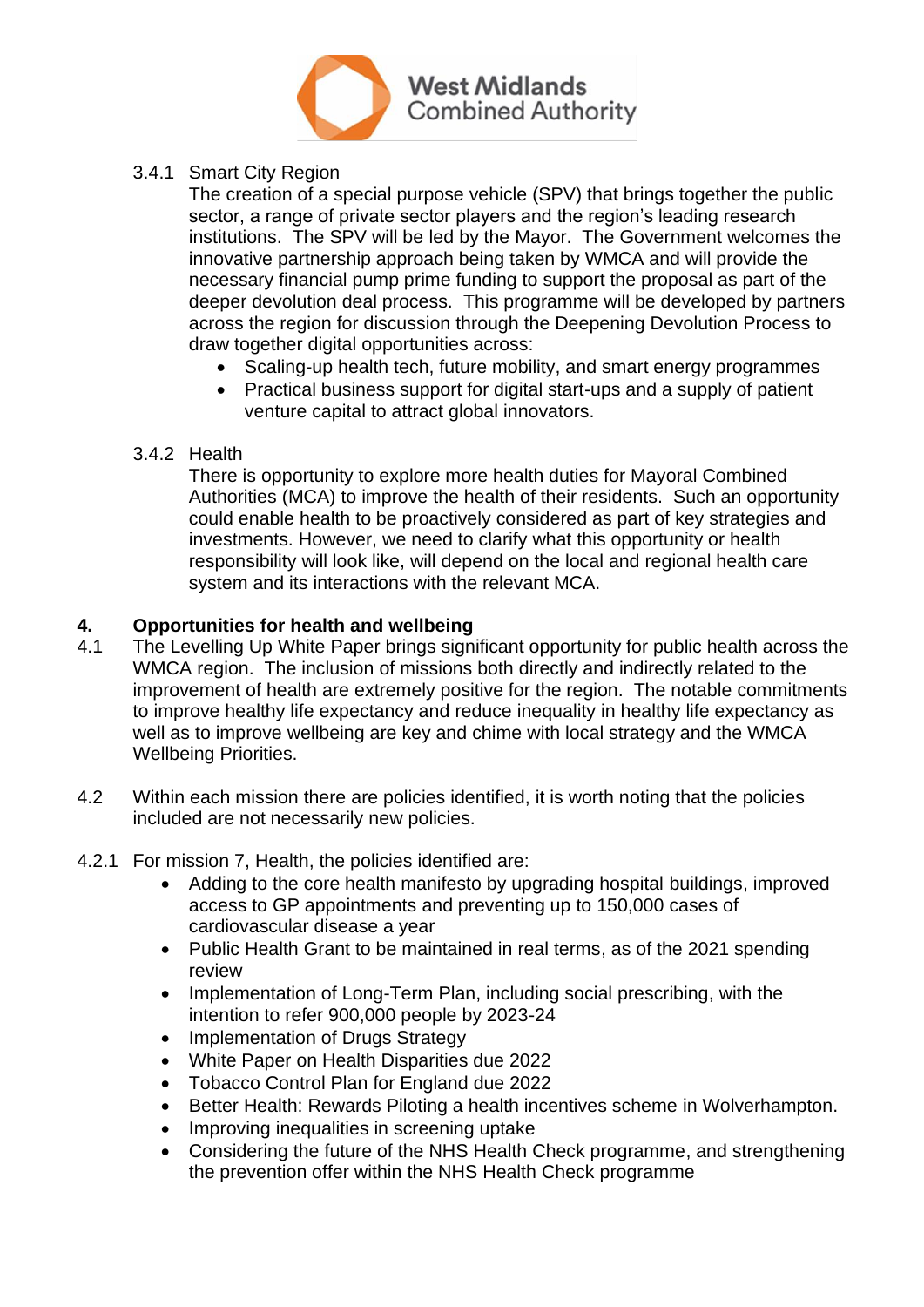

#### 3.4.1 Smart City Region

The creation of a special purpose vehicle (SPV) that brings together the public sector, a range of private sector players and the region's leading research institutions. The SPV will be led by the Mayor. The Government welcomes the innovative partnership approach being taken by WMCA and will provide the necessary financial pump prime funding to support the proposal as part of the deeper devolution deal process. This programme will be developed by partners across the region for discussion through the Deepening Devolution Process to draw together digital opportunities across:

- Scaling-up health tech, future mobility, and smart energy programmes
- Practical business support for digital start-ups and a supply of patient venture capital to attract global innovators.
- 3.4.2 Health

There is opportunity to explore more health duties for Mayoral Combined Authorities (MCA) to improve the health of their residents. Such an opportunity could enable health to be proactively considered as part of key strategies and investments. However, we need to clarify what this opportunity or health responsibility will look like, will depend on the local and regional health care system and its interactions with the relevant MCA.

#### **4. Opportunities for health and wellbeing**

- 4.1 The Levelling Up White Paper brings significant opportunity for public health across the WMCA region. The inclusion of missions both directly and indirectly related to the improvement of health are extremely positive for the region. The notable commitments to improve healthy life expectancy and reduce inequality in healthy life expectancy as well as to improve wellbeing are key and chime with local strategy and the WMCA Wellbeing Priorities.
- 4.2 Within each mission there are policies identified, it is worth noting that the policies included are not necessarily new policies.
- 4.2.1 For mission 7, Health, the policies identified are:
	- Adding to the core health manifesto by upgrading hospital buildings, improved access to GP appointments and preventing up to 150,000 cases of cardiovascular disease a year
	- Public Health Grant to be maintained in real terms, as of the 2021 spending review
	- Implementation of Long-Term Plan, including social prescribing, with the intention to refer 900,000 people by 2023-24
	- Implementation of Drugs Strategy
	- White Paper on Health Disparities due 2022
	- Tobacco Control Plan for England due 2022
	- Better Health: Rewards Piloting a health incentives scheme in Wolverhampton.
	- Improving inequalities in screening uptake
	- Considering the future of the NHS Health Check programme, and strengthening the prevention offer within the NHS Health Check programme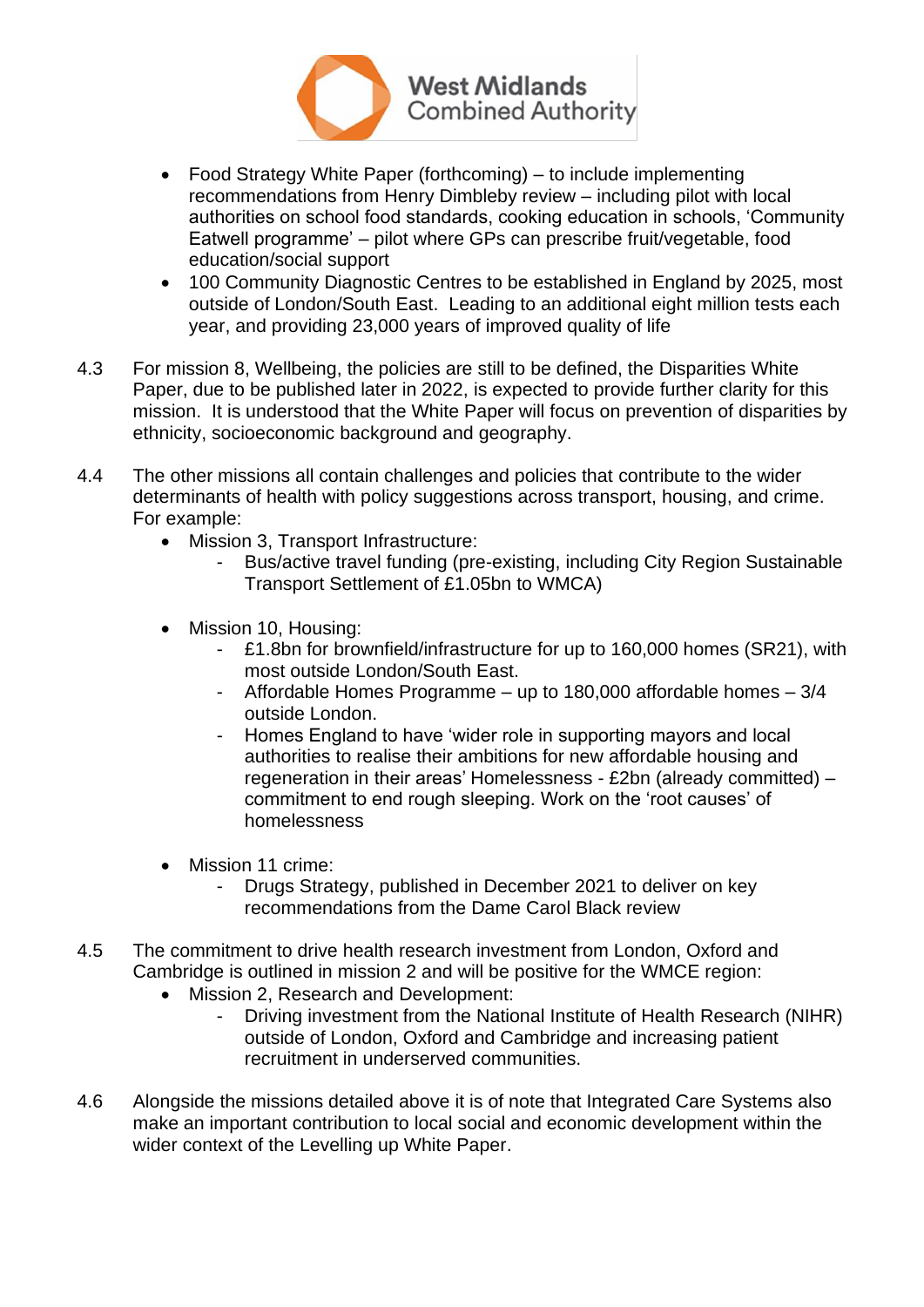

- Food Strategy White Paper (forthcoming) to include implementing recommendations from Henry Dimbleby review – including pilot with local authorities on school food standards, cooking education in schools, 'Community Eatwell programme' – pilot where GPs can prescribe fruit/vegetable, food education/social support
- 100 Community Diagnostic Centres to be established in England by 2025, most outside of London/South East. Leading to an additional eight million tests each year, and providing 23,000 years of improved quality of life
- 4.3 For mission 8, Wellbeing, the policies are still to be defined, the Disparities White Paper, due to be published later in 2022, is expected to provide further clarity for this mission. It is understood that the White Paper will focus on prevention of disparities by ethnicity, socioeconomic background and geography.
- 4.4 The other missions all contain challenges and policies that contribute to the wider determinants of health with policy suggestions across transport, housing, and crime. For example:
	- Mission 3, Transport Infrastructure:
		- Bus/active travel funding (pre-existing, including City Region Sustainable Transport Settlement of £1.05bn to WMCA)
	- Mission 10, Housing:
		- £1.8bn for brownfield/infrastructure for up to 160,000 homes (SR21), with most outside London/South East.
		- Affordable Homes Programme up to 180,000 affordable homes 3/4 outside London.
		- Homes England to have 'wider role in supporting mayors and local authorities to realise their ambitions for new affordable housing and regeneration in their areas' Homelessness - £2bn (already committed) – commitment to end rough sleeping. Work on the 'root causes' of homelessness
	- Mission 11 crime:
		- Drugs Strategy, published in December 2021 to deliver on key recommendations from the Dame Carol Black review
- 4.5 The commitment to drive health research investment from London, Oxford and Cambridge is outlined in mission 2 and will be positive for the WMCE region:
	- Mission 2, Research and Development:
		- Driving investment from the National Institute of Health Research (NIHR) outside of London, Oxford and Cambridge and increasing patient recruitment in underserved communities.
- 4.6 Alongside the missions detailed above it is of note that Integrated Care Systems also make an important contribution to local social and economic development within the wider context of the Levelling up White Paper.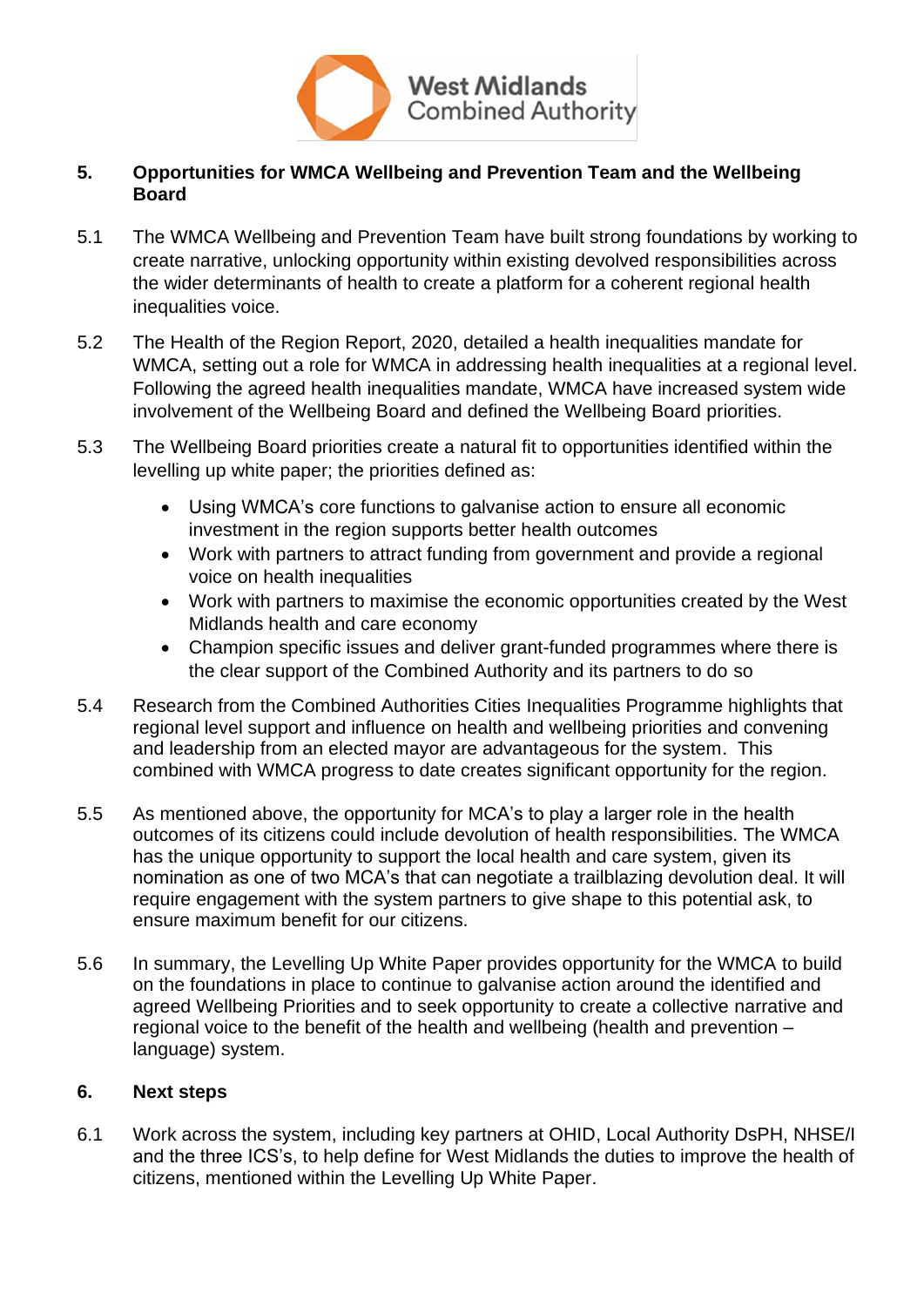

# **5. Opportunities for WMCA Wellbeing and Prevention Team and the Wellbeing Board**

- 5.1 The WMCA Wellbeing and Prevention Team have built strong foundations by working to create narrative, unlocking opportunity within existing devolved responsibilities across the wider determinants of health to create a platform for a coherent regional health inequalities voice.
- 5.2 The Health of the Region Report, 2020, detailed a health inequalities mandate for WMCA, setting out a role for WMCA in addressing health inequalities at a regional level. Following the agreed health inequalities mandate, WMCA have increased system wide involvement of the Wellbeing Board and defined the Wellbeing Board priorities.
- 5.3 The Wellbeing Board priorities create a natural fit to opportunities identified within the levelling up white paper; the priorities defined as:
	- Using WMCA's core functions to galvanise action to ensure all economic investment in the region supports better health outcomes
	- Work with partners to attract funding from government and provide a regional voice on health inequalities
	- Work with partners to maximise the economic opportunities created by the West Midlands health and care economy
	- Champion specific issues and deliver grant-funded programmes where there is the clear support of the Combined Authority and its partners to do so
- 5.4 Research from the Combined Authorities Cities Inequalities Programme highlights that regional level support and influence on health and wellbeing priorities and convening and leadership from an elected mayor are advantageous for the system. This combined with WMCA progress to date creates significant opportunity for the region.
- 5.5 As mentioned above, the opportunity for MCA's to play a larger role in the health outcomes of its citizens could include devolution of health responsibilities. The WMCA has the unique opportunity to support the local health and care system, given its nomination as one of two MCA's that can negotiate a trailblazing devolution deal. It will require engagement with the system partners to give shape to this potential ask, to ensure maximum benefit for our citizens.
- 5.6 In summary, the Levelling Up White Paper provides opportunity for the WMCA to build on the foundations in place to continue to galvanise action around the identified and agreed Wellbeing Priorities and to seek opportunity to create a collective narrative and regional voice to the benefit of the health and wellbeing (health and prevention – language) system.

# **6. Next steps**

6.1 Work across the system, including key partners at OHID, Local Authority DsPH, NHSE/I and the three ICS's, to help define for West Midlands the duties to improve the health of citizens, mentioned within the Levelling Up White Paper.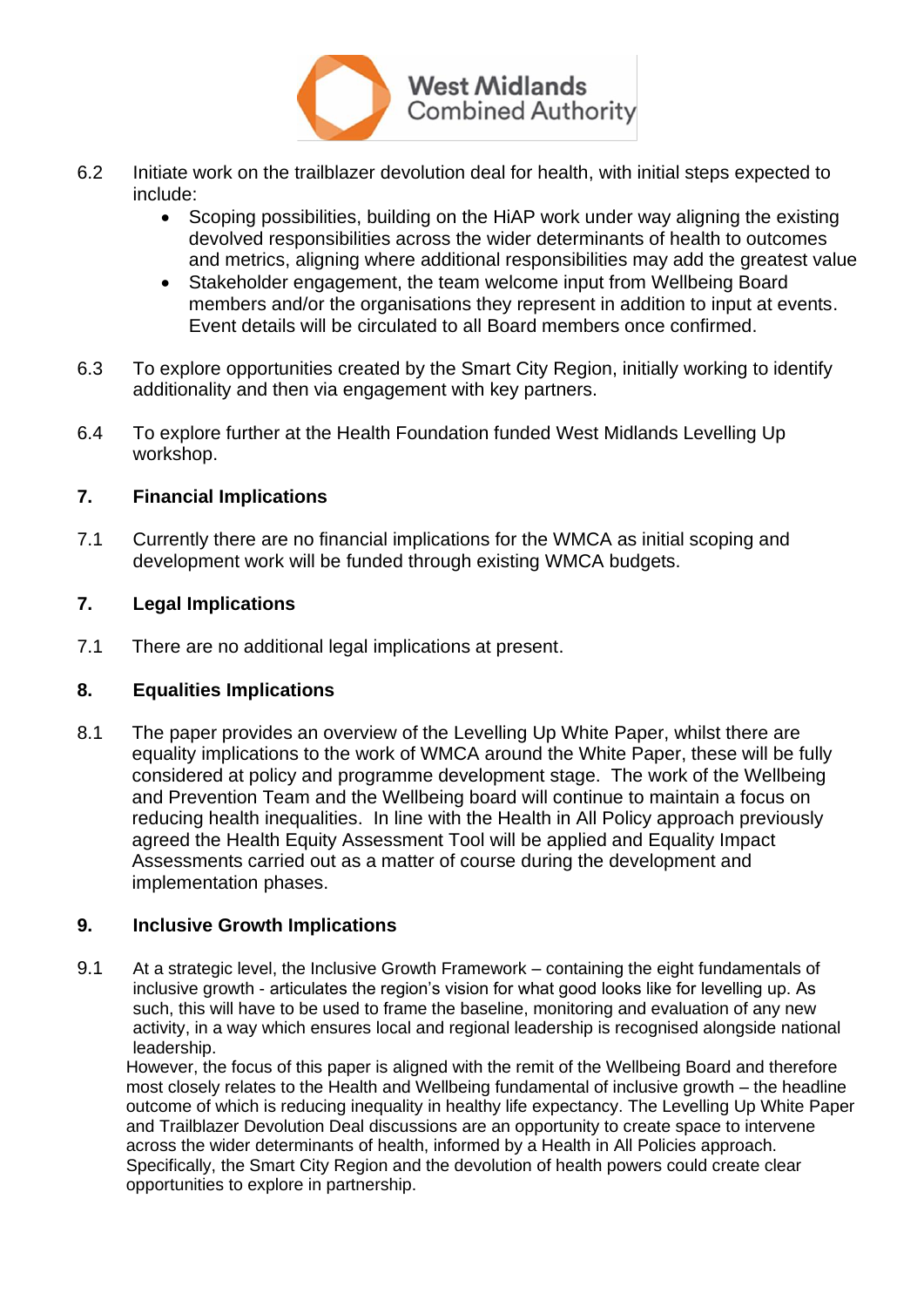

- 6.2 Initiate work on the trailblazer devolution deal for health, with initial steps expected to include:
	- Scoping possibilities, building on the HiAP work under way aligning the existing devolved responsibilities across the wider determinants of health to outcomes and metrics, aligning where additional responsibilities may add the greatest value
	- Stakeholder engagement, the team welcome input from Wellbeing Board members and/or the organisations they represent in addition to input at events. Event details will be circulated to all Board members once confirmed.
- 6.3 To explore opportunities created by the Smart City Region, initially working to identify additionality and then via engagement with key partners.
- 6.4 To explore further at the Health Foundation funded West Midlands Levelling Up workshop.

#### **7. Financial Implications**

7.1 Currently there are no financial implications for the WMCA as initial scoping and development work will be funded through existing WMCA budgets.

#### **7. Legal Implications**

7.1 There are no additional legal implications at present.

# **8. Equalities Implications**

8.1 The paper provides an overview of the Levelling Up White Paper, whilst there are equality implications to the work of WMCA around the White Paper, these will be fully considered at policy and programme development stage. The work of the Wellbeing and Prevention Team and the Wellbeing board will continue to maintain a focus on reducing health inequalities. In line with the Health in All Policy approach previously agreed the Health Equity Assessment Tool will be applied and Equality Impact Assessments carried out as a matter of course during the development and implementation phases.

# **9. Inclusive Growth Implications**

9.1 At a strategic level, the Inclusive Growth Framework – containing the eight fundamentals of inclusive growth - articulates the region's vision for what good looks like for levelling up. As such, this will have to be used to frame the baseline, monitoring and evaluation of any new activity, in a way which ensures local and regional leadership is recognised alongside national leadership.

However, the focus of this paper is aligned with the remit of the Wellbeing Board and therefore most closely relates to the Health and Wellbeing fundamental of inclusive growth – the headline outcome of which is reducing inequality in healthy life expectancy. The Levelling Up White Paper and Trailblazer Devolution Deal discussions are an opportunity to create space to intervene across the wider determinants of health, informed by a Health in All Policies approach. Specifically, the Smart City Region and the devolution of health powers could create clear opportunities to explore in partnership.